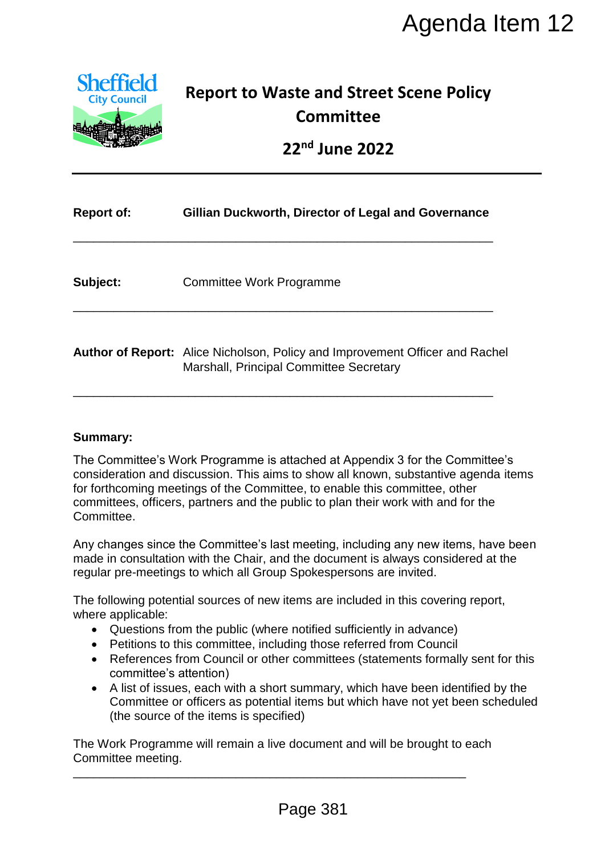

# **Report to Waste and Street Scene Policy Committee**

|                                                                       | Agenda Item 12                                                                                                                                                                                                                                                                                                                                                                                                                                                                                                                 |
|-----------------------------------------------------------------------|--------------------------------------------------------------------------------------------------------------------------------------------------------------------------------------------------------------------------------------------------------------------------------------------------------------------------------------------------------------------------------------------------------------------------------------------------------------------------------------------------------------------------------|
| <b>Sheffield</b><br><b>City Council</b>                               | <b>Report to Waste and Street Scene Policy</b><br><b>Committee</b><br>22 <sup>nd</sup> June 2022                                                                                                                                                                                                                                                                                                                                                                                                                               |
| <b>Report of:</b>                                                     | Gillian Duckworth, Director of Legal and Governance                                                                                                                                                                                                                                                                                                                                                                                                                                                                            |
| Subject:                                                              | <b>Committee Work Programme</b>                                                                                                                                                                                                                                                                                                                                                                                                                                                                                                |
|                                                                       | Author of Report: Alice Nicholson, Policy and Improvement Officer and Rachel<br>Marshall, Principal Committee Secretary                                                                                                                                                                                                                                                                                                                                                                                                        |
| Summary:<br>Committee.                                                | The Committee's Work Programme is attached at Appendix 3 for the Committee's<br>consideration and discussion. This aims to show all known, substantive agenda items<br>for forthcoming meetings of the Committee, to enable this committee, other<br>committees, officers, partners and the public to plan their work with and for the                                                                                                                                                                                         |
|                                                                       | Any changes since the Committee's last meeting, including any new items, have been<br>made in consultation with the Chair, and the document is always considered at the<br>regular pre-meetings to which all Group Spokespersons are invited.                                                                                                                                                                                                                                                                                  |
| where applicable:<br>$\bullet$<br>$\bullet$<br>committee's attention) | The following potential sources of new items are included in this covering report,<br>Questions from the public (where notified sufficiently in advance)<br>Petitions to this committee, including those referred from Council<br>References from Council or other committees (statements formally sent for this<br>A list of issues, each with a short summary, which have been identified by the<br>Committee or officers as potential items but which have not yet been scheduled<br>(the source of the items is specified) |
| Committee meeting.                                                    | The Work Programme will remain a live document and will be brought to each                                                                                                                                                                                                                                                                                                                                                                                                                                                     |
|                                                                       | Page 381                                                                                                                                                                                                                                                                                                                                                                                                                                                                                                                       |

#### **Summary:**

- Questions from the public (where notified sufficiently in advance)
- Petitions to this committee, including those referred from Council
- References from Council or other committees (statements formally sent for this committee's attention)
- A list of issues, each with a short summary, which have been identified by the Committee or officers as potential items but which have not yet been scheduled (the source of the items is specified)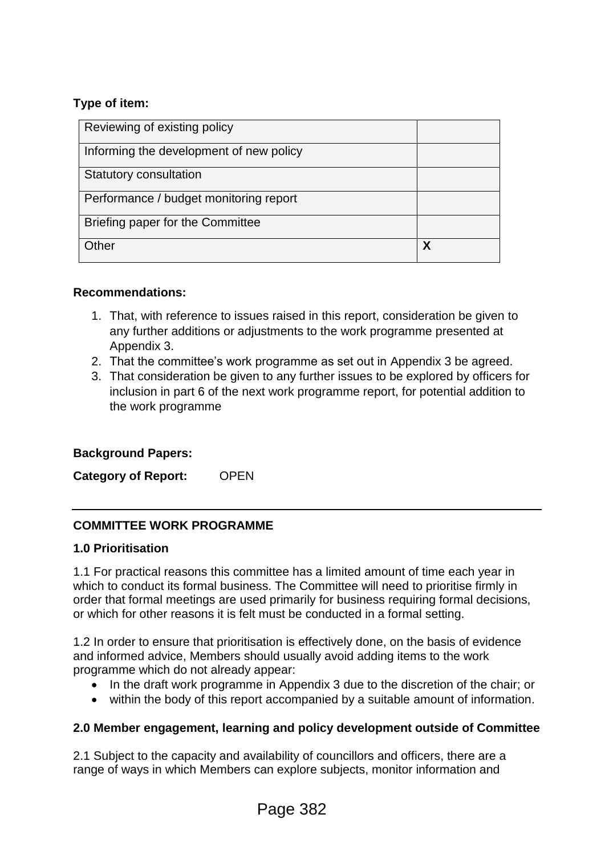### **Type of item:**

| Reviewing of existing policy            |   |
|-----------------------------------------|---|
| Informing the development of new policy |   |
| Statutory consultation                  |   |
| Performance / budget monitoring report  |   |
| Briefing paper for the Committee        |   |
| Other                                   | X |

### **Recommendations:**

- 1. That, with reference to issues raised in this report, consideration be given to any further additions or adjustments to the work programme presented at Appendix 3.
- 2. That the committee's work programme as set out in Appendix 3 be agreed.
- 3. That consideration be given to any further issues to be explored by officers for inclusion in part 6 of the next work programme report, for potential addition to the work programme

### **Background Papers:**

**Category of Report:** OPEN

### **COMMITTEE WORK PROGRAMME**

#### **1.0 Prioritisation**

1.1 For practical reasons this committee has a limited amount of time each year in which to conduct its formal business. The Committee will need to prioritise firmly in order that formal meetings are used primarily for business requiring formal decisions, or which for other reasons it is felt must be conducted in a formal setting.

1.2 In order to ensure that prioritisation is effectively done, on the basis of evidence and informed advice, Members should usually avoid adding items to the work programme which do not already appear:

- In the draft work programme in Appendix 3 due to the discretion of the chair; or
- within the body of this report accompanied by a suitable amount of information.

### **2.0 Member engagement, learning and policy development outside of Committee**

2.1 Subject to the capacity and availability of councillors and officers, there are a range of ways in which Members can explore subjects, monitor information and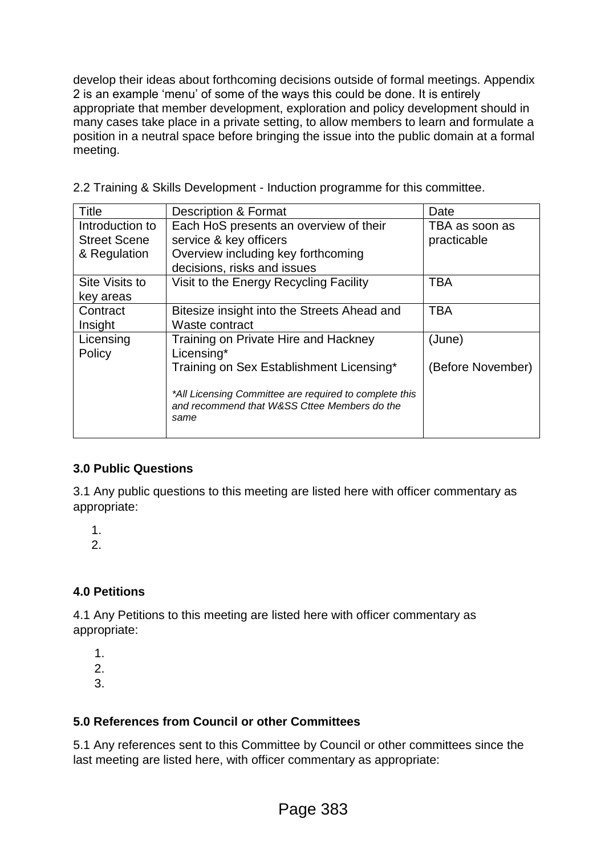develop their ideas about forthcoming decisions outside of formal meetings. Appendix 2 is an example 'menu' of some of the ways this could be done. It is entirely appropriate that member development, exploration and policy development should in many cases take place in a private setting, to allow members to learn and formulate a position in a neutral space before bringing the issue into the public domain at a formal meeting.

2.2 Training & Skills Development - Induction programme for this committee.

| <b>Title</b>        | <b>Description &amp; Format</b>                        | Date              |
|---------------------|--------------------------------------------------------|-------------------|
| Introduction to     | Each HoS presents an overview of their                 | TBA as soon as    |
| <b>Street Scene</b> | service & key officers                                 | practicable       |
| & Regulation        | Overview including key forthcoming                     |                   |
|                     | decisions, risks and issues                            |                   |
| Site Visits to      | Visit to the Energy Recycling Facility                 | <b>TBA</b>        |
| key areas           |                                                        |                   |
| Contract            | Bitesize insight into the Streets Ahead and            | <b>TBA</b>        |
| Insight             | Waste contract                                         |                   |
| Licensing           | Training on Private Hire and Hackney                   | (June)            |
| Policy              | Licensing*                                             |                   |
|                     | Training on Sex Establishment Licensing*               | (Before November) |
|                     |                                                        |                   |
|                     | *All Licensing Committee are required to complete this |                   |
|                     | and recommend that W&SS Cttee Members do the<br>same   |                   |
|                     |                                                        |                   |

### **3.0 Public Questions**

3.1 Any public questions to this meeting are listed here with officer commentary as appropriate:

1.

 $\mathcal{P}$ 

### **4.0 Petitions**

4.1 Any Petitions to this meeting are listed here with officer commentary as appropriate:

1. 2. 3.

### **5.0 References from Council or other Committees**

5.1 Any references sent to this Committee by Council or other committees since the last meeting are listed here, with officer commentary as appropriate: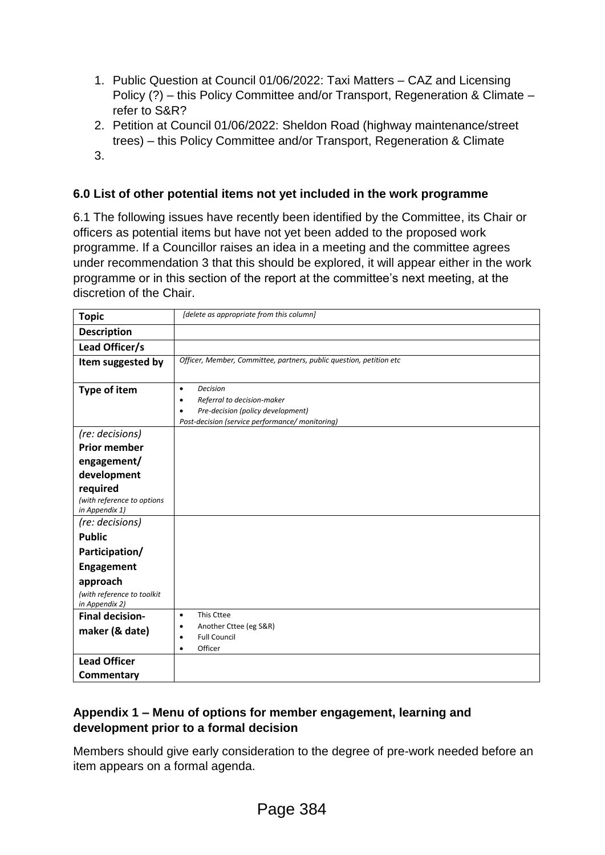- 1. Public Question at Council 01/06/2022: Taxi Matters CAZ and Licensing Policy (?) – this Policy Committee and/or Transport, Regeneration & Climate – refer to S&R?
- 2. Petition at Council 01/06/2022: Sheldon Road (highway maintenance/street trees) – this Policy Committee and/or Transport, Regeneration & Climate
- 3.

### **6.0 List of other potential items not yet included in the work programme**

6.1 The following issues have recently been identified by the Committee, its Chair or officers as potential items but have not yet been added to the proposed work programme. If a Councillor raises an idea in a meeting and the committee agrees under recommendation 3 that this should be explored, it will appear either in the work programme or in this section of the report at the committee's next meeting, at the discretion of the Chair.

| <b>Topic</b>                                             | [delete as appropriate from this column]                                                                                                                             |
|----------------------------------------------------------|----------------------------------------------------------------------------------------------------------------------------------------------------------------------|
| <b>Description</b>                                       |                                                                                                                                                                      |
| Lead Officer/s                                           |                                                                                                                                                                      |
| Item suggested by                                        | Officer, Member, Committee, partners, public question, petition etc                                                                                                  |
| <b>Type of item</b>                                      | <b>Decision</b><br>$\bullet$<br>Referral to decision-maker<br>٠<br>Pre-decision (policy development)<br>$\bullet$<br>Post-decision (service performance/ monitoring) |
| (re: decisions)                                          |                                                                                                                                                                      |
| <b>Prior member</b>                                      |                                                                                                                                                                      |
| engagement/                                              |                                                                                                                                                                      |
| development                                              |                                                                                                                                                                      |
| required<br>(with reference to options<br>in Appendix 1) |                                                                                                                                                                      |
| (re: decisions)                                          |                                                                                                                                                                      |
| <b>Public</b>                                            |                                                                                                                                                                      |
| Participation/                                           |                                                                                                                                                                      |
| <b>Engagement</b>                                        |                                                                                                                                                                      |
| approach                                                 |                                                                                                                                                                      |
| (with reference to toolkit<br>in Appendix 2)             |                                                                                                                                                                      |
| <b>Final decision-</b>                                   | This Cttee<br>$\bullet$                                                                                                                                              |
| maker (& date)                                           | Another Cttee (eg S&R)<br>$\bullet$<br><b>Full Council</b><br>٠<br>Officer<br>$\bullet$                                                                              |
| <b>Lead Officer</b>                                      |                                                                                                                                                                      |
| Commentary                                               |                                                                                                                                                                      |

### **Appendix 1 – Menu of options for member engagement, learning and development prior to a formal decision**

Members should give early consideration to the degree of pre-work needed before an item appears on a formal agenda.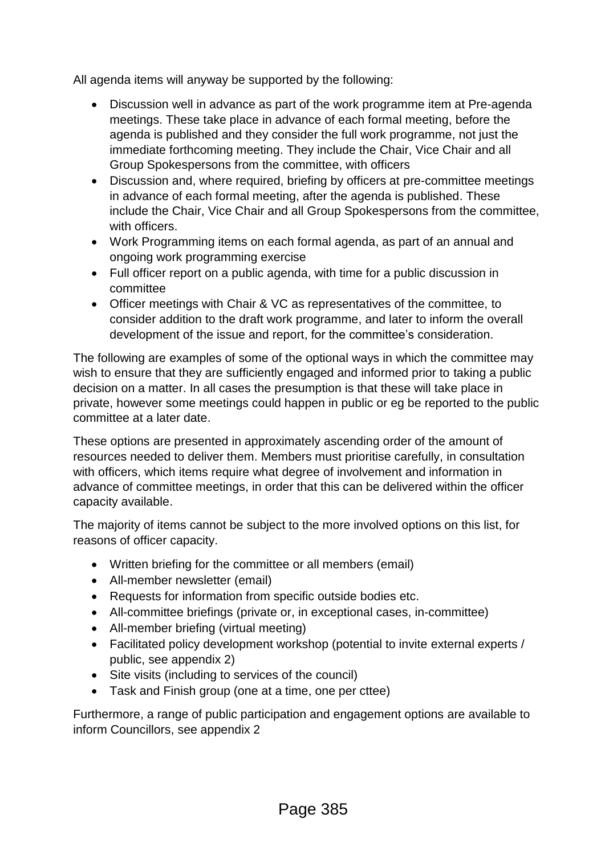All agenda items will anyway be supported by the following:

- Discussion well in advance as part of the work programme item at Pre-agenda meetings. These take place in advance of each formal meeting, before the agenda is published and they consider the full work programme, not just the immediate forthcoming meeting. They include the Chair, Vice Chair and all Group Spokespersons from the committee, with officers
- Discussion and, where required, briefing by officers at pre-committee meetings in advance of each formal meeting, after the agenda is published. These include the Chair, Vice Chair and all Group Spokespersons from the committee, with officers.
- Work Programming items on each formal agenda, as part of an annual and ongoing work programming exercise
- Full officer report on a public agenda, with time for a public discussion in committee
- Officer meetings with Chair & VC as representatives of the committee, to consider addition to the draft work programme, and later to inform the overall development of the issue and report, for the committee's consideration.

The following are examples of some of the optional ways in which the committee may wish to ensure that they are sufficiently engaged and informed prior to taking a public decision on a matter. In all cases the presumption is that these will take place in private, however some meetings could happen in public or eg be reported to the public committee at a later date.

These options are presented in approximately ascending order of the amount of resources needed to deliver them. Members must prioritise carefully, in consultation with officers, which items require what degree of involvement and information in advance of committee meetings, in order that this can be delivered within the officer capacity available.

The majority of items cannot be subject to the more involved options on this list, for reasons of officer capacity.

- Written briefing for the committee or all members (email)
- All-member newsletter (email)
- Requests for information from specific outside bodies etc.
- All-committee briefings (private or, in exceptional cases, in-committee)
- All-member briefing (virtual meeting)
- Facilitated policy development workshop (potential to invite external experts / public, see appendix 2)
- Site visits (including to services of the council)
- Task and Finish group (one at a time, one per cttee)

Furthermore, a range of public participation and engagement options are available to inform Councillors, see appendix 2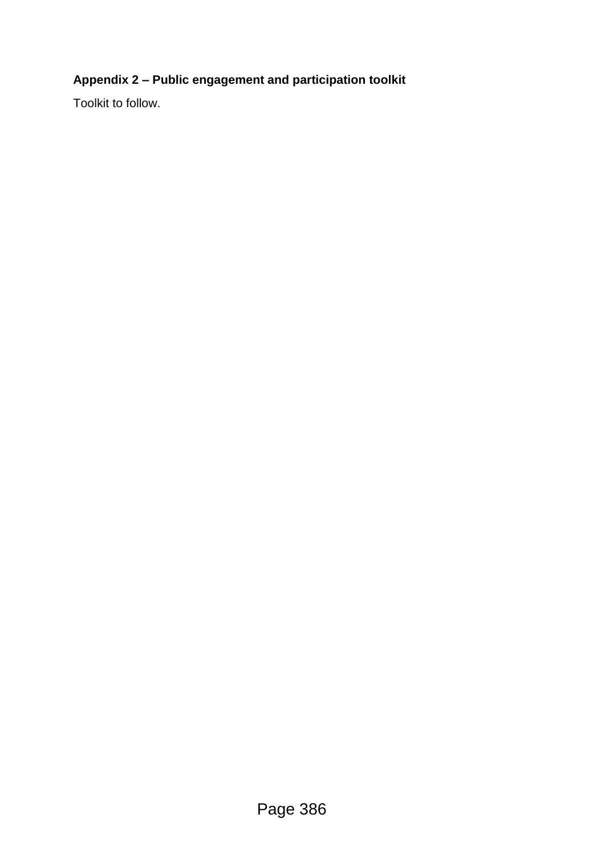## **Appendix 2 – Public engagement and participation toolkit**

Toolkit to follow.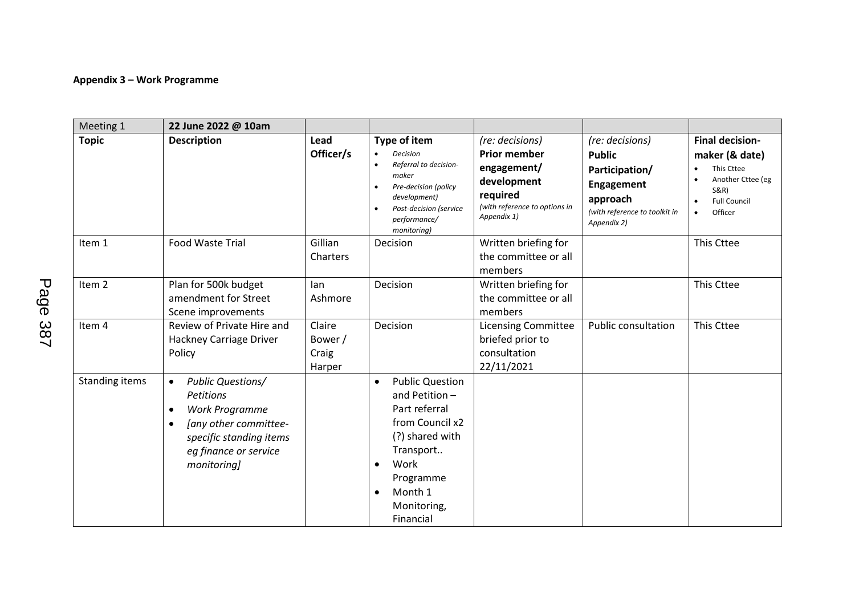#### **Appendix 3 – Work Programme**

| Meeting 1         | 22 June 2022 @ 10am                                                                                                                                                                        |                                      |                                                                                                                                                                                                           |                                                                                                                                  |                                                                                                                              |                                                                                                                                                                                      |
|-------------------|--------------------------------------------------------------------------------------------------------------------------------------------------------------------------------------------|--------------------------------------|-----------------------------------------------------------------------------------------------------------------------------------------------------------------------------------------------------------|----------------------------------------------------------------------------------------------------------------------------------|------------------------------------------------------------------------------------------------------------------------------|--------------------------------------------------------------------------------------------------------------------------------------------------------------------------------------|
| <b>Topic</b>      | <b>Description</b>                                                                                                                                                                         | Lead<br>Officer/s                    | Type of item<br><b>Decision</b><br>$\bullet$<br>Referral to decision-<br>$\bullet$<br>maker<br>Pre-decision (policy<br>development)<br>Post-decision (service<br>$\bullet$<br>performance/<br>monitoring) | (re: decisions)<br><b>Prior member</b><br>engagement/<br>development<br>required<br>(with reference to options in<br>Appendix 1) | (re: decisions)<br><b>Public</b><br>Participation/<br>Engagement<br>approach<br>(with reference to toolkit in<br>Appendix 2) | <b>Final decision-</b><br>maker (& date)<br>This Cttee<br>$\bullet$<br>Another Cttee (eg<br>$\bullet$<br><b>S&amp;R)</b><br><b>Full Council</b><br>$\bullet$<br>Officer<br>$\bullet$ |
| Item 1            | Food Waste Trial                                                                                                                                                                           | Gillian<br>Charters                  | Decision                                                                                                                                                                                                  | Written briefing for<br>the committee or all<br>members                                                                          |                                                                                                                              | This Cttee                                                                                                                                                                           |
| Item <sub>2</sub> | Plan for 500k budget<br>amendment for Street<br>Scene improvements                                                                                                                         | lan<br>Ashmore                       | Decision                                                                                                                                                                                                  | Written briefing for<br>the committee or all<br>members                                                                          |                                                                                                                              | This Cttee                                                                                                                                                                           |
| Item 4            | Review of Private Hire and<br>Hackney Carriage Driver<br>Policy                                                                                                                            | Claire<br>Bower /<br>Craig<br>Harper | Decision                                                                                                                                                                                                  | <b>Licensing Committee</b><br>briefed prior to<br>consultation<br>22/11/2021                                                     | <b>Public consultation</b>                                                                                                   | This Cttee                                                                                                                                                                           |
| Standing items    | <b>Public Questions/</b><br>$\bullet$<br>Petitions<br>Work Programme<br>$\bullet$<br>[any other committee-<br>$\bullet$<br>specific standing items<br>eg finance or service<br>monitoring] |                                      | <b>Public Question</b><br>$\bullet$<br>and Petition-<br>Part referral<br>from Council x2<br>(?) shared with<br>Transport<br>Work<br>Programme<br>Month 1<br>$\bullet$<br>Monitoring,<br>Financial         |                                                                                                                                  |                                                                                                                              |                                                                                                                                                                                      |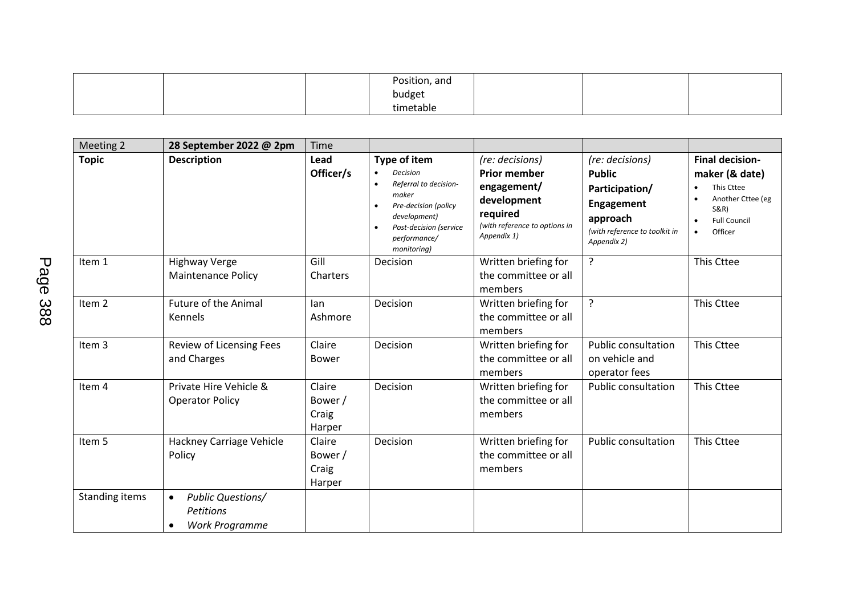|  | Position, and |  |  |
|--|---------------|--|--|
|  | budget        |  |  |
|  | timetable     |  |  |

| Meeting 2         | 28 September 2022 @ 2pm                                                           | Time                                 |                                                                                                                                                                                              |                                                                                                                                  |                                                                                                                              |                                                                                                                                               |
|-------------------|-----------------------------------------------------------------------------------|--------------------------------------|----------------------------------------------------------------------------------------------------------------------------------------------------------------------------------------------|----------------------------------------------------------------------------------------------------------------------------------|------------------------------------------------------------------------------------------------------------------------------|-----------------------------------------------------------------------------------------------------------------------------------------------|
| <b>Topic</b>      | <b>Description</b>                                                                | Lead<br>Officer/s                    | Type of item<br><b>Decision</b><br>$\bullet$<br>Referral to decision-<br>maker<br>Pre-decision (policy<br>development)<br>Post-decision (service<br>$\bullet$<br>performance/<br>monitoring) | (re: decisions)<br><b>Prior member</b><br>engagement/<br>development<br>required<br>(with reference to options in<br>Appendix 1) | (re: decisions)<br><b>Public</b><br>Participation/<br>Engagement<br>approach<br>(with reference to toolkit in<br>Appendix 2) | <b>Final decision-</b><br>maker (& date)<br>This Cttee<br>Another Cttee (eg<br><b>S&amp;R)</b><br><b>Full Council</b><br>Officer<br>$\bullet$ |
| Item 1            | <b>Highway Verge</b><br>Maintenance Policy                                        | Gill<br>Charters                     | Decision                                                                                                                                                                                     | Written briefing for<br>the committee or all<br>members                                                                          | ?                                                                                                                            | This Cttee                                                                                                                                    |
| Item <sub>2</sub> | <b>Future of the Animal</b><br>Kennels                                            | lan<br>Ashmore                       | Decision                                                                                                                                                                                     | Written briefing for<br>the committee or all<br>members                                                                          | ?                                                                                                                            | This Cttee                                                                                                                                    |
| Item 3            | Review of Licensing Fees<br>and Charges                                           | Claire<br><b>Bower</b>               | Decision                                                                                                                                                                                     | Written briefing for<br>the committee or all<br>members                                                                          | <b>Public consultation</b><br>on vehicle and<br>operator fees                                                                | This Cttee                                                                                                                                    |
| Item 4            | Private Hire Vehicle &<br><b>Operator Policy</b>                                  | Claire<br>Bower /<br>Craig<br>Harper | Decision                                                                                                                                                                                     | Written briefing for<br>the committee or all<br>members                                                                          | Public consultation                                                                                                          | This Cttee                                                                                                                                    |
| Item 5            | Hackney Carriage Vehicle<br>Policy                                                | Claire<br>Bower /<br>Craig<br>Harper | Decision                                                                                                                                                                                     | Written briefing for<br>the committee or all<br>members                                                                          | <b>Public consultation</b>                                                                                                   | This Cttee                                                                                                                                    |
| Standing items    | <b>Public Questions/</b><br>$\bullet$<br>Petitions<br>Work Programme<br>$\bullet$ |                                      |                                                                                                                                                                                              |                                                                                                                                  |                                                                                                                              |                                                                                                                                               |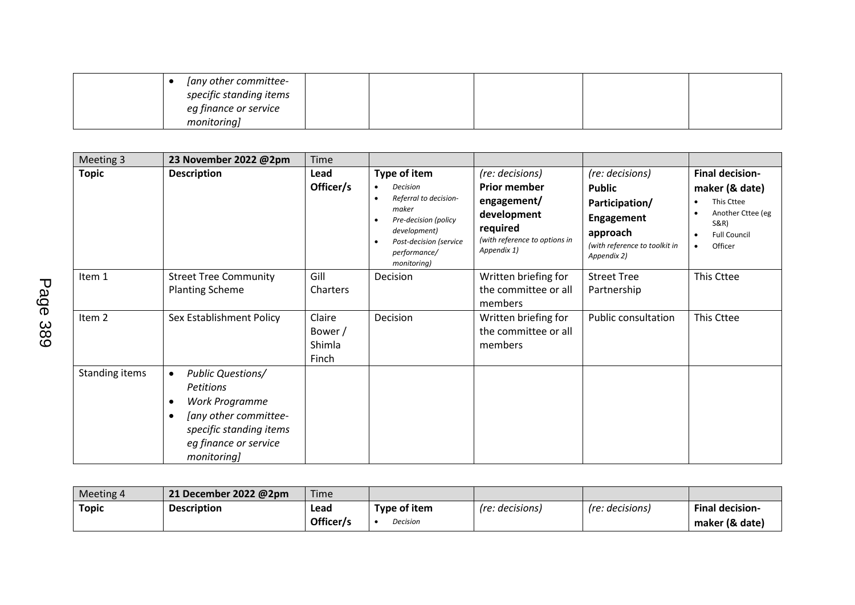| [any other committee-<br>specific standing items<br>eg finance or service |  |  |  |
|---------------------------------------------------------------------------|--|--|--|
| monitoring]                                                               |  |  |  |

| Meeting 3      | 23 November 2022 @2pm                                                                                                                                                                     | Time                                 |                                                                                                                                                                                       |                                                                                                                                  |                                                                                                                              |                                                                                                                                               |
|----------------|-------------------------------------------------------------------------------------------------------------------------------------------------------------------------------------------|--------------------------------------|---------------------------------------------------------------------------------------------------------------------------------------------------------------------------------------|----------------------------------------------------------------------------------------------------------------------------------|------------------------------------------------------------------------------------------------------------------------------|-----------------------------------------------------------------------------------------------------------------------------------------------|
| <b>Topic</b>   | <b>Description</b>                                                                                                                                                                        | Lead<br>Officer/s                    | Type of item<br>Decision<br>$\bullet$<br>Referral to decision-<br>maker<br>Pre-decision (policy<br>development)<br>Post-decision (service<br>$\bullet$<br>performance/<br>monitoring) | (re: decisions)<br><b>Prior member</b><br>engagement/<br>development<br>required<br>(with reference to options in<br>Appendix 1) | (re: decisions)<br><b>Public</b><br>Participation/<br>Engagement<br>approach<br>(with reference to toolkit in<br>Appendix 2) | <b>Final decision-</b><br>maker (& date)<br>This Cttee<br>Another Cttee (eg<br><b>S&amp;R)</b><br><b>Full Council</b><br>Officer<br>$\bullet$ |
| Item 1         | <b>Street Tree Community</b><br><b>Planting Scheme</b>                                                                                                                                    | Gill<br>Charters                     | Decision                                                                                                                                                                              | Written briefing for<br>the committee or all<br>members                                                                          | <b>Street Tree</b><br>Partnership                                                                                            | This Cttee                                                                                                                                    |
| Item 2         | Sex Establishment Policy                                                                                                                                                                  | Claire<br>Bower /<br>Shimla<br>Finch | Decision                                                                                                                                                                              | Written briefing for<br>the committee or all<br>members                                                                          | <b>Public consultation</b>                                                                                                   | This Cttee                                                                                                                                    |
| Standing items | <b>Public Questions/</b><br>$\bullet$<br><b>Petitions</b><br>Work Programme<br>٠<br>[any other committee-<br>$\bullet$<br>specific standing items<br>eg finance or service<br>monitoring] |                                      |                                                                                                                                                                                       |                                                                                                                                  |                                                                                                                              |                                                                                                                                               |

| Meeting 4    | 21 December 2022 @2pm | Time      |                 |                 |                        |                        |
|--------------|-----------------------|-----------|-----------------|-----------------|------------------------|------------------------|
| <b>Topic</b> | <b>Description</b>    | Lead      | Type of item    | (re: decisions) | <i>(re: decisions)</i> | <b>Final decision-</b> |
|              |                       | Officer/s | <b>Decision</b> |                 |                        | maker (& date)         |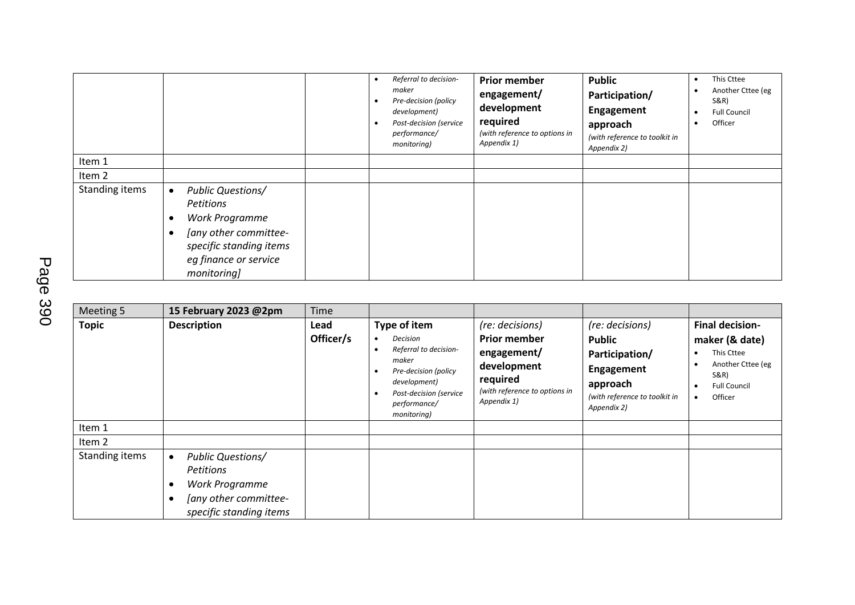|                |                                                                                                                                                                  | $\bullet$<br>٠ | Referral to decision-<br>maker<br>Pre-decision (policy<br>development)<br>Post-decision (service<br>performance/<br>monitoring) | <b>Prior member</b><br>engagement/<br>development<br>required<br>(with reference to options in<br>Appendix 1) | <b>Public</b><br>Participation/<br>Engagement<br>approach<br>(with reference to toolkit in<br>Appendix 2) | This Cttee<br>Another Cttee (eg<br>S&R)<br><b>Full Council</b><br>Officer |
|----------------|------------------------------------------------------------------------------------------------------------------------------------------------------------------|----------------|---------------------------------------------------------------------------------------------------------------------------------|---------------------------------------------------------------------------------------------------------------|-----------------------------------------------------------------------------------------------------------|---------------------------------------------------------------------------|
| Item 1         |                                                                                                                                                                  |                |                                                                                                                                 |                                                                                                               |                                                                                                           |                                                                           |
| Item 2         |                                                                                                                                                                  |                |                                                                                                                                 |                                                                                                               |                                                                                                           |                                                                           |
| Standing items | <b>Public Questions/</b><br>$\bullet$<br>Petitions<br>Work Programme<br>[any other committee-<br>specific standing items<br>eg finance or service<br>monitoring] |                |                                                                                                                                 |                                                                                                               |                                                                                                           |                                                                           |

| Meeting 5      | 15 February 2023 @2pm                                                                                                           | Time              |                                                                                                                                                                                                           |                                                                                                                                  |                                                                                                                              |                                                                                                                       |
|----------------|---------------------------------------------------------------------------------------------------------------------------------|-------------------|-----------------------------------------------------------------------------------------------------------------------------------------------------------------------------------------------------------|----------------------------------------------------------------------------------------------------------------------------------|------------------------------------------------------------------------------------------------------------------------------|-----------------------------------------------------------------------------------------------------------------------|
| <b>Topic</b>   | <b>Description</b>                                                                                                              | Lead<br>Officer/s | Type of item<br><b>Decision</b><br>$\bullet$<br>Referral to decision-<br>$\bullet$<br>maker<br>Pre-decision (policy<br>$\bullet$<br>development)<br>Post-decision (service<br>performance/<br>monitoring) | (re: decisions)<br><b>Prior member</b><br>engagement/<br>development<br>required<br>(with reference to options in<br>Appendix 1) | (re: decisions)<br><b>Public</b><br>Participation/<br>Engagement<br>approach<br>(with reference to toolkit in<br>Appendix 2) | <b>Final decision-</b><br>maker (& date)<br>This Cttee<br>Another Cttee (eg<br>S&R)<br><b>Full Council</b><br>Officer |
| Item 1         |                                                                                                                                 |                   |                                                                                                                                                                                                           |                                                                                                                                  |                                                                                                                              |                                                                                                                       |
| Item 2         |                                                                                                                                 |                   |                                                                                                                                                                                                           |                                                                                                                                  |                                                                                                                              |                                                                                                                       |
| Standing items | <b>Public Questions/</b><br>$\bullet$<br><b>Petitions</b><br>Work Programme<br>[any other committee-<br>specific standing items |                   |                                                                                                                                                                                                           |                                                                                                                                  |                                                                                                                              |                                                                                                                       |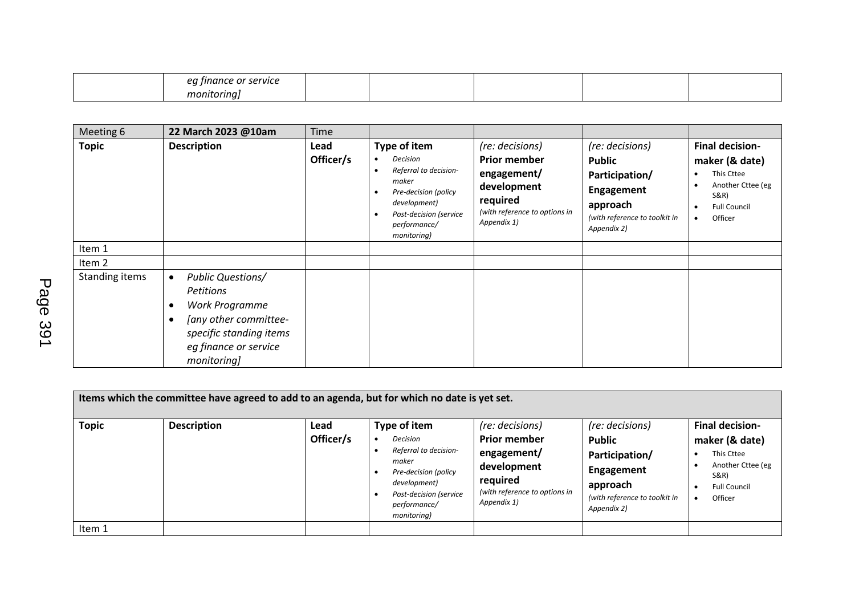| or |  |  |  |
|----|--|--|--|
|    |  |  |  |

| Meeting 6      | 22 March 2023 @10am                                                                                                                                                                               | <b>Time</b>       |                                                                                                                                                             |                                                                                                                                  |                                                                                                                                     |                                                                                                                       |
|----------------|---------------------------------------------------------------------------------------------------------------------------------------------------------------------------------------------------|-------------------|-------------------------------------------------------------------------------------------------------------------------------------------------------------|----------------------------------------------------------------------------------------------------------------------------------|-------------------------------------------------------------------------------------------------------------------------------------|-----------------------------------------------------------------------------------------------------------------------|
| <b>Topic</b>   | <b>Description</b>                                                                                                                                                                                | Lead<br>Officer/s | Type of item<br>Decision<br>Referral to decision-<br>maker<br>Pre-decision (policy<br>development)<br>Post-decision (service<br>performance/<br>monitoring) | (re: decisions)<br><b>Prior member</b><br>engagement/<br>development<br>required<br>(with reference to options in<br>Appendix 1) | (re: decisions)<br><b>Public</b><br>Participation/<br><b>Engagement</b><br>approach<br>(with reference to toolkit in<br>Appendix 2) | <b>Final decision-</b><br>maker (& date)<br>This Cttee<br>Another Cttee (eg<br>S&R)<br><b>Full Council</b><br>Officer |
| Item 1         |                                                                                                                                                                                                   |                   |                                                                                                                                                             |                                                                                                                                  |                                                                                                                                     |                                                                                                                       |
| Item 2         |                                                                                                                                                                                                   |                   |                                                                                                                                                             |                                                                                                                                  |                                                                                                                                     |                                                                                                                       |
| Standing items | <b>Public Questions/</b><br>$\bullet$<br><b>Petitions</b><br>Work Programme<br>$\bullet$<br>[any other committee-<br>$\bullet$<br>specific standing items<br>eg finance or service<br>monitoring] |                   |                                                                                                                                                             |                                                                                                                                  |                                                                                                                                     |                                                                                                                       |

| Items which the committee have agreed to add to an agenda, but for which no date is yet set. |                    |                   |                                                                                                                                                                                                                  |                               |                                                                                                               |                                                                                                                                  |  |  |
|----------------------------------------------------------------------------------------------|--------------------|-------------------|------------------------------------------------------------------------------------------------------------------------------------------------------------------------------------------------------------------|-------------------------------|---------------------------------------------------------------------------------------------------------------|----------------------------------------------------------------------------------------------------------------------------------|--|--|
| <b>Topic</b>                                                                                 | <b>Description</b> | Lead<br>Officer/s | Type of item<br>(re: decisions)<br><b>Prior member</b><br>Decision<br>Referral to decision-<br>engagement/<br>maker<br>development<br>Pre-decision (policy<br>required<br>development)<br>Post-decision (service | (with reference to options in | (re: decisions)<br><b>Public</b><br>Participation/<br>Engagement<br>approach<br>(with reference to toolkit in | <b>Final decision-</b><br>maker (& date)<br>This Cttee<br>Another Cttee (eg<br><b>S&amp;R)</b><br><b>Full Council</b><br>Officer |  |  |
| Item 1                                                                                       |                    |                   | performance/<br>monitoring)                                                                                                                                                                                      | Appendix 1)                   | Appendix 2)                                                                                                   |                                                                                                                                  |  |  |